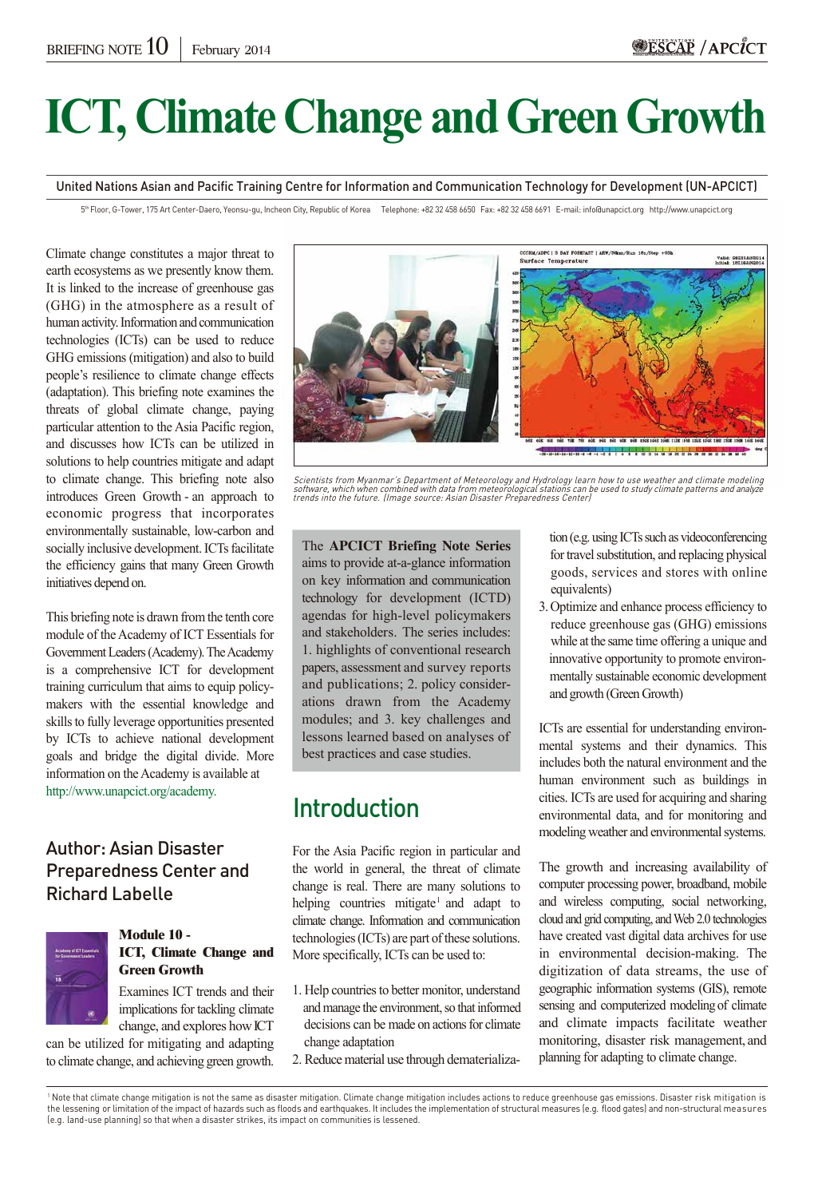# **ICT, Climate Change and Green Growth**

United Nations Asian and Pacific Training Centre for Information and Communication Technology for Development (UN-APCICT)

5<sup>th</sup> Floor, G-Tower, 175 Art Center-Daero, Yeonsu-gu, Incheon City, Republic of Korea Telephone: +82 32 458 6650 Fax: +82 32 458 6691 E-mail: info@unapcict.org http://www.unapcict.org

Climate change constitutes a major threat to earth ecosystems as we presently know them. It is linked to the increase of greenhouse gas (GHG) in the atmosphere as a result of human activity. Information and communication technologies (ICTs) can be used to reduce GHG emissions (mitigation) and also to build people's resilience to climate change effects (adaptation). This briefing note examines the threats of global climate change, paying particular attention to the Asia Pacific region, and discusses how ICTs can be utilized in solutions to help countries mitigate and adapt to climate change. This briefing note also introduces Green Growth - an approach to economic progress that incorporates environmentally sustainable, low-carbon and socially inclusive development. ICTs facilitate the efficiency gains that many Green Growth initiatives depend on.

This briefing note is drawn from the tenth core module of the Academy of ICT Essentials for Government Leaders (Academy). The Academy is a comprehensive ICT for development training curriculum that aims to equip policymakers with the essential knowledge and skills to fully leverage opportunities presented by ICTs to achieve national development goals and bridge the digital divide. More information on the Academy is available at http://www.unapcict.org/academy.

#### Author: Asian Disaster Preparedness Center and Richard Labelle



#### **Module 10 - ICT, Climate Change and Green Growth**

Examines ICT trends and their implications for tackling climate change, and explores howICT

can be utilized for mitigating and adapting to climate change, and achieving green growth.



Scientists from Myanmar's Department of Meteorology and Hydrology learn how to use weather and climate modeling software, which when combined with data from meteorological stations can be used to study climate patterns and analyze trends into the future. (Image source: Asian Disaster Preparedness Center)

The **APCICT Briefing Note Series**  aims to provide at-a-glance information on key information and communication technology for development (ICTD) agendas for high-level policymakers and stakeholders. The series includes: 1. highlights of conventional research papers, assessment and survey reports and publications; 2. policy considerations drawn from the Academy modules; and 3. key challenges and lessons learned based on analyses of best practices and case studies.

## Introduction

For the Asia Pacific region in particular and the world in general, the threat of climate change is real. There are many solutions to helping countries mitigate<sup>1</sup> and adapt to climate change. Information and communication technologies (ICTs) are part of these solutions. More specifically, ICTs can be used to:

- 1. Help countries to better monitor, understand and manage the environment, so that informed decisions can be made on actions for climate change adaptation
- 2. Reduce material use through dematerializa-

 tion (e.g. using ICTs such as videoconferencing for travel substitution, and replacing physical goods, services and stores with online equivalents)

3.Optimize and enhance process efficiency to reduce greenhouse gas (GHG) emissions while at the same time offering a unique and innovative opportunity to promote environ mentally sustainable economic development and growth (Green Growth)

ICTs are essential for understanding environmental systems and their dynamics. This includes both the natural environment and the human environment such as buildings in cities. ICTs are used for acquiring and sharing environmental data, and for monitoring and modeling weather and environmental systems.

The growth and increasing availability of computer processing power, broadband, mobile and wireless computing, social networking, cloud and grid computing, and Web 2.0 technologies have created vast digital data archives for use in environmental decision-making. The digitization of data streams, the use of geographic information systems (GIS), remote sensing and computerized modeling of climate and climate impacts facilitate weather monitoring, disaster risk management, and planning for adapting to climate change.

<sup>1</sup> Note that climate change mitigation is not the same as disaster mitigation. Climate change mitigation includes actions to reduce greenhouse gas emissions. Disaster risk mitigation is the lessening or limitation of the impact of hazards such as floods and earthquakes. It includes the implementation of structural measures (e.g. flood gates) and non-structural measures (e.g. land-use planning) so that when a disaster strikes, its impact on communities is lessened.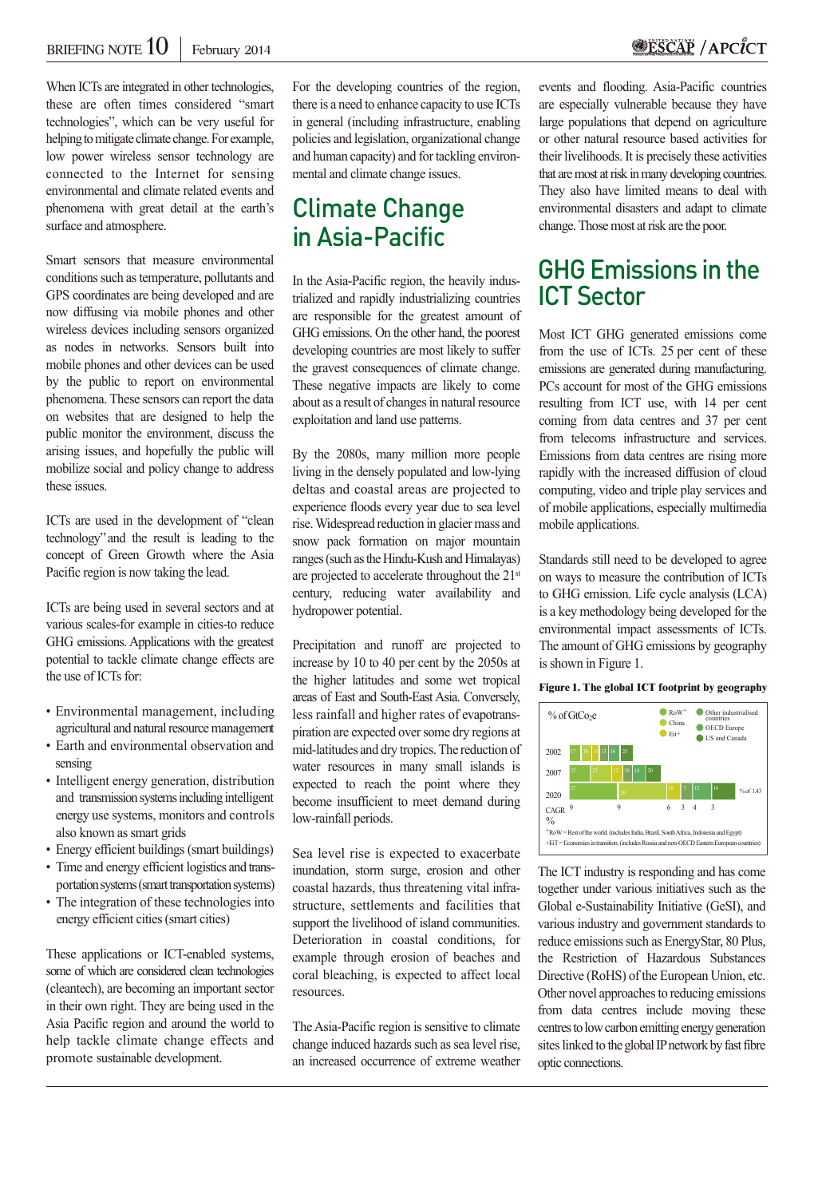When ICTs are integrated in other technologies, these are often times considered "smart technologies", which can be very useful for helping to mitigate climate change. For example, low power wireless sensor technology are connected to the Internet for sensing environmental and climate related events and phenomena with great detail at the earth's surface and atmosphere.

Smart sensors that measure environmental conditions such as temperature, pollutants and GPS coordinates are being developed and are now diffusing via mobile phones and other wireless devices including sensors organized as nodes in networks. Sensors built into mobile phones and other devices can be used by the public to report on environmental phenomena. These sensors can report the data on websites that are designed to help the public monitor the environment, discuss the arising issues, and hopefully the public will mobilize social and policy change to address these issues.

ICTs are used in the development of "clean technology" and the result is leading to the concept of Green Growth where the Asia Pacific region is now taking the lead.

ICTs are being used in several sectors and at various scales-for example in cities-to reduce GHG emissions. Applications with the greatest potential to tackle climate change effects are the use of ICTs for:

- Environmental management, including agricultural and natural resource management
- Earth and environmental observation and sensing
- Intelligent energy generation, distribution and transmission systems including intelligent energy use systems, monitors and controls also known as smart grids
- Energy efficient buildings (smart buildings)
- Time and energy efficient logistics and trans portation systems (smart transportation systems)
- The integration of these technologies into energy efficient cities (smart cities)

These applications or ICT-enabled systems, some of which are considered clean technologies (cleantech), are becoming an important sector in their own right. They are being used in the Asia Pacific region and around the world to help tackle climate change effects and promote sustainable development.

For the developing countries of the region, there is a need to enhance capacity to use ICTs in general (including infrastructure, enabling policies and legislation, organizational change and human capacity) and for tackling environmental and climate change issues.

## Climate Change in Asia-Pacific

In the Asia-Pacific region, the heavily industrialized and rapidly industrializing countries are responsible for the greatest amount of GHG emissions. On the other hand, the poorest developing countries are most likely to suffer the gravest consequences of climate change. These negative impacts are likely to come about as a result of changes in natural resource exploitation and land use patterns.

By the 2080s, many million more people living in the densely populated and low-lying deltas and coastal areas are projected to experience floods every year due to sea level rise. Widespread reduction in glacier mass and snow pack formation on major mountain ranges (such as the Hindu-Kush and Himalayas) are projected to accelerate throughout the 21<sup>st</sup> century, reducing water availability and hydropower potential.

Precipitation and runoff are projected to increase by 10 to 40 per cent by the 2050s at the higher latitudes and some wet tropical areas of East and South-East Asia. Conversely, less rainfall and higher rates of evapotranspiration are expected over some dry regions at mid-latitudes and dry tropics. The reduction of water resources in many small islands is expected to reach the point where they become insufficient to meet demand during low-rainfall periods.

Sea level rise is expected to exacerbate inundation, storm surge, erosion and other coastal hazards, thus threatening vital infrastructure, settlements and facilities that support the livelihood of island communities. Deterioration in coastal conditions, for example through erosion of beaches and coral bleaching, is expected to affect local resources.

The Asia-Pacific region is sensitive to climate change induced hazards such as sea level rise, an increased occurrence of extreme weather events and flooding. Asia-Pacific countries are especially vulnerable because they have large populations that depend on agriculture or other natural resource based activities for their livelihoods. It is precisely these activities that are most at risk in many developing countries. They also have limited means to deal with environmental disasters and adapt to climate change. Those most at risk are the poor.

#### GHG Emissions in the ICT Sector

Most ICT GHG generated emissions come from the use of ICTs. 25 per cent of these emissions are generated during manufacturing. PCs account for most of the GHG emissions resulting from ICT use, with 14 per cent coming from data centres and 37 per cent from telecoms infrastructure and services. Emissions from data centres are rising more rapidly with the increased diffusion of cloud computing, video and triple play services and of mobile applications, especially multimedia mobile applications.

Standards still need to be developed to agree on ways to measure the contribution of ICTs to GHG emission. Life cycle analysis (LCA) is a key methodology being developed for the environmental impact assessments of ICTs. The amount of GHG emissions by geography is shown in Figure 1.

#### **Figure 1. The global ICT footprint by geography**



The ICT industry is responding and has come together under various initiatives such as the Global e-Sustainability Initiative (GeSI), and various industry and government standards to reduce emissions such as EnergyStar, 80 Plus, the Restriction of Hazardous Substances Directive (RoHS) of the European Union, etc. Other novel approaches to reducing emissions from data centres include moving these centres to low carbon emitting energy generation sites linked to the global IP network by fast fibre optic connections.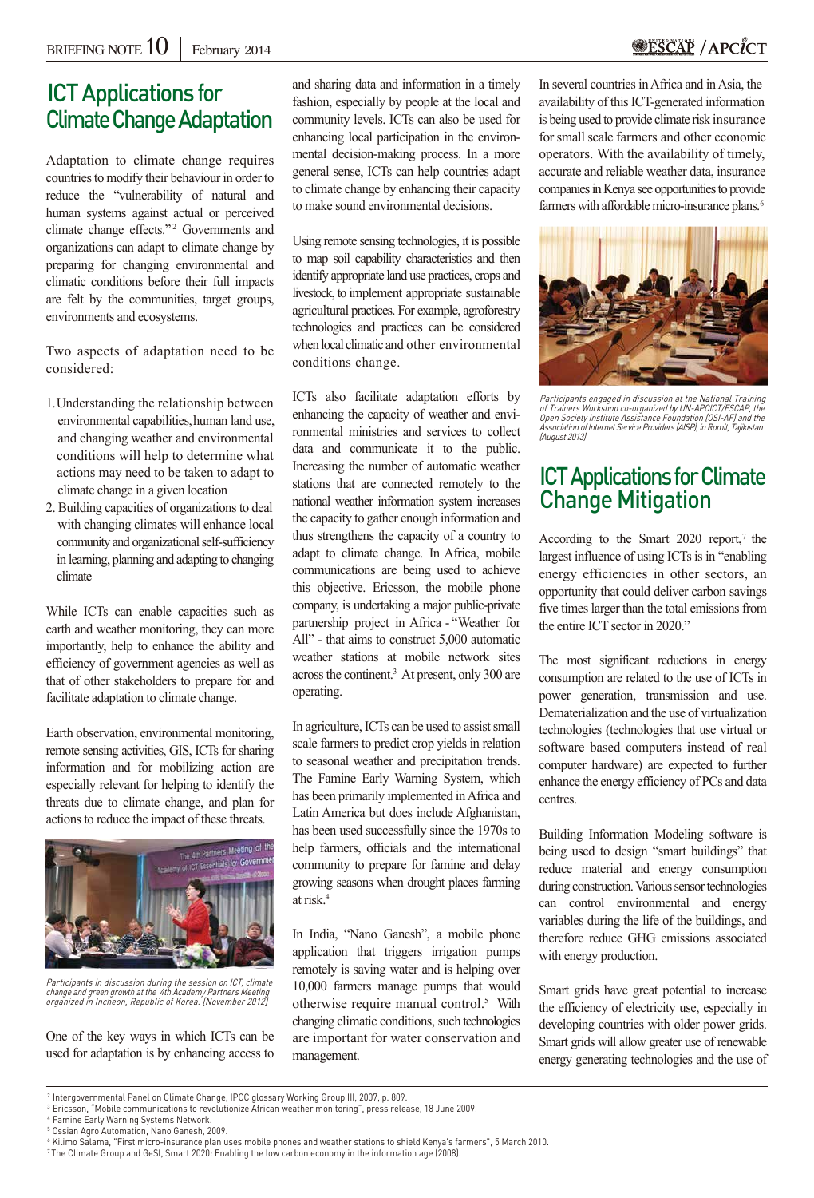#### **SESCAP / APCICT**

#### ICT Applications for **Climate Change Adaptation**

Adaptation to climate change requires countries to modify their behaviour in order to reduce the "vulnerability of natural and human systems against actual or perceived climate change effects."<sup>2</sup> Governments and organizations can adapt to climate change by preparing for changing environmental and climatic conditions before their full impacts are felt by the communities, target groups, environments and ecosystems.

Two aspects of adaptation need to be considered:

- 1.Understanding the relationship between environmental capabilities, human land use, and changing weather and environmental conditions will help to determine what actions may need to be taken to adapt to climate change in a given location
- 2. Building capacities of organizations to deal with changing climates will enhance local community and organizational self-sufficiency in learning, planning and adapting to changing climate

While ICTs can enable capacities such as earth and weather monitoring, they can more importantly, help to enhance the ability and efficiency of government agencies as well as that of other stakeholders to prepare for and facilitate adaptation to climate change.

Earth observation, environmental monitoring, remote sensing activities, GIS, ICTs for sharing information and for mobilizing action are especially relevant for helping to identify the threats due to climate change, and plan for actions to reduce the impact of these threats.



Participants in discussion during the session on ICT, climate change and green growth at the 4th Academy Partners Meeting organized in Incheon, Republic of Korea. [November 2012]

One of the key ways in which ICTs can be used for adaptation is by enhancing access to and sharing data and information in a timely fashion, especially by people at the local and community levels. ICTs can also be used for enhancing local participation in the environmental decision-making process. In a more general sense, ICTs can help countries adapt to climate change by enhancing their capacity to make sound environmental decisions.

Using remote sensing technologies, it is possible to map soil capability characteristics and then identify appropriate land use practices, crops and livestock, to implement appropriate sustainable agricultural practices. For example, agroforestry technologies and practices can be considered when local climatic and other environmental conditions change.

ICTs also facilitate adaptation efforts by enhancing the capacity of weather and environmental ministries and services to collect data and communicate it to the public. Increasing the number of automatic weather stations that are connected remotely to the national weather information system increases the capacity to gather enough information and thus strengthens the capacity of a country to adapt to climate change. In Africa, mobile communications are being used to achieve this objective. Ericsson, the mobile phone company, is undertaking a major public-private partnership project in Africa - "Weather for All" - that aims to construct 5,000 automatic weather stations at mobile network sites across the continent.3 At present, only 300 are operating.

In agriculture, ICTs can be used to assist small scale farmers to predict crop yields in relation to seasonal weather and precipitation trends. The Famine Early Warning System, which has been primarily implemented in Africa and Latin America but does include Afghanistan, has been used successfully since the 1970s to help farmers, officials and the international community to prepare for famine and delay growing seasons when drought places farming at risk.4

In India, "Nano Ganesh", a mobile phone application that triggers irrigation pumps remotely is saving water and is helping over 10,000 farmers manage pumps that would otherwise require manual control.5 With changing climatic conditions, such technologies are important for water conservation and management.

In several countries in Africa and in Asia, the availability of this ICT-generated information is being used to provide climate risk insurance for small scale farmers and other economic operators. With the availability of timely, accurate and reliable weather data, insurance companies in Kenya see opportunities to provide farmers with affordable micro-insurance plans. 6



Participants engaged in discussion at the National Training of Trainers Workshop co-organized by UN-APCICT/ESCAP, the Open Society Institute Assistance Foundation (OSI-AF) and the Association of Internet Service Providers (AISP), in Romit, Tajikistan (August 2013)

#### ICT Applications for Climate Change Mitigation

According to the Smart 2020 report, <sup>7</sup> the largest influence of using ICTs is in "enabling energy efficiencies in other sectors, an opportunity that could deliver carbon savings five times larger than the total emissions from the entire ICT sector in 2020."

The most significant reductions in energy consumption are related to the use of ICTs in power generation, transmission and use. Dematerialization and the use of virtualization technologies (technologies that use virtual or software based computers instead of real computer hardware) are expected to further enhance the energy efficiency of PCs and data centres.

Building Information Modeling software is being used to design "smart buildings" that reduce material and energy consumption during construction. Various sensor technologies can control environmental and energy variables during the life of the buildings, and therefore reduce GHG emissions associated with energy production.

Smart grids have great potential to increase the efficiency of electricity use, especially in developing countries with older power grids. Smart grids will allow greater use of renewable energy generating technologies and the use of

4 Famine Early Warning Systems Network. 5 Ossian Agro Automation, Nano Ganesh, 2009.

<sup>2</sup> Intergovernmental Panel on Climate Change, IPCC glossary Working Group III, 2007, p. 809.

<sup>3</sup> Ericsson, "Mobile communications to revolutionize African weather monitoring", press release, 18 June 2009.

<sup>6</sup> Kilimo Salama, "First micro-insurance plan uses mobile phones and weather stations to shield Kenya's farmers", 5 March 2010.

<sup>7</sup> The Climate Group and GeSI, Smart 2020: Enabling the low carbon economy in the information age (2008).